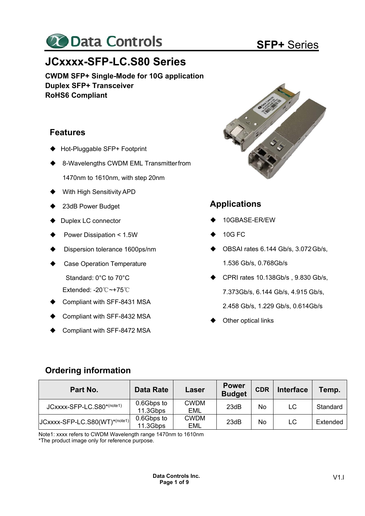

# **JCxxxx-SFP-LC.S80 Series**

**CWDM SFP+ Single-Mode for 10G application Duplex SFP+ Transceiver RoHS6 Compliant** 

## **Features**

- ◆ Hot-Pluggable SFP+ Footprint
- 8-Wavelengths CWDM EML Transmitter from
	- 1470nm to 1610nm, with step 20nm
- With High Sensitivity APD
- ◆ 23dB Power Budget
- ◆ Duplex LC connector
- Power Dissipation < 1.5W
- Dispersion tolerance 1600ps/nm
- Case Operation Temperature Standard: 0°C to 70°C
	- Extended: -20℃~+75℃
- Compliant with SFF-8431 MSA
- Compliant with SFF-8432 MSA
- Compliant with SFF-8472 MSA



# **Applications**

- 10GBASE-ER/EW
- $\triangle$  10G FC
- ◆ OBSAI rates 6.144 Gb/s, 3.072 Gb/s, 1.536 Gb/s, 0.768Gb/s
- ◆ CPRI rates 10.138Gb/s, 9.830 Gb/s, 7.373Gb/s, 6.144 Gb/s, 4.915 Gb/s, 2.458 Gb/s, 1.229 Gb/s, 0.614Gb/s
- Other optical links

# **Ordering information**

| Part No.                           | <b>Data Rate</b>       | Laser                     | <b>Power</b><br><b>Budget</b> | <b>CDR</b> | <b>Interface</b> | Temp.    |
|------------------------------------|------------------------|---------------------------|-------------------------------|------------|------------------|----------|
| JCxxxx-SFP-LC.S80*(note1)          | 0.6Gbps to<br>11.3Gbps | <b>CWDM</b><br><b>EML</b> | 23dB                          | No         | LC               | Standard |
| $ JCxxxx-SFP-LC.S80(WT)^*(note1) $ | 0.6Gbps to<br>11.3Gbps | <b>CWDM</b><br><b>EML</b> | 23dB                          | No         | LC               | Extended |

Note1: xxxx refers to CWDM Wavelength range 1470nm to 1610nm

\*The product image only for reference purpose.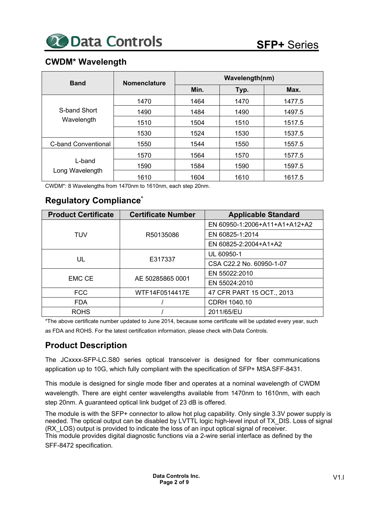# **CWDM\* Wavelength**

| <b>Band</b>                | <b>Nomenclature</b> | Wavelength(nm) |      |        |  |
|----------------------------|---------------------|----------------|------|--------|--|
|                            |                     | Min.           | Typ. | Max.   |  |
|                            | 1470                | 1464           | 1470 | 1477.5 |  |
| S-band Short               | 1490                | 1484           | 1490 | 1497.5 |  |
| Wavelength                 | 1510                | 1504           | 1510 | 1517.5 |  |
|                            | 1530                | 1524           | 1530 | 1537.5 |  |
| <b>C-band Conventional</b> | 1550                | 1544           | 1550 | 1557.5 |  |
| L-band                     | 1570                | 1564           | 1570 | 1577.5 |  |
|                            | 1590                | 1584           | 1590 | 1597.5 |  |
| Long Wavelength            | 1610                | 1604           | 1610 | 1617.5 |  |

CWDM\*: 8 Wavelengths from 1470nm to 1610nm, each step 20nm.

# **Regulatory Compliance\***

| <b>Product Certificate</b> | <b>Certificate Number</b> | <b>Applicable Standard</b>    |
|----------------------------|---------------------------|-------------------------------|
|                            |                           | EN 60950-1:2006+A11+A1+A12+A2 |
| TUV                        | R50135086                 | EN 60825-1:2014               |
|                            |                           | EN 60825-2:2004+A1+A2         |
|                            |                           | UL 60950-1                    |
| UL                         | E317337                   | CSA C22.2 No. 60950-1-07      |
| <b>EMC CE</b>              | AE 50285865 0001          | EN 55022:2010                 |
|                            |                           | EN 55024:2010                 |
| <b>FCC</b>                 | WTF14F0514417E            | 47 CFR PART 15 OCT., 2013     |
| <b>FDA</b>                 |                           | CDRH 1040.10                  |
| <b>ROHS</b>                |                           | 2011/65/EU                    |

\*The above certificate number updated to June 2014, because some certificate will be updated every year, such as FDA and ROHS. For the latest certification information, please check with Data Controls.

# **Product Description**

The JCxxxx-SFP-LC.S80 series optical transceiver is designed for fiber communications application up to 10G, which fully compliant with the specification of SFP+ MSA SFF-8431.

This module is designed for single mode fiber and operates at a nominal wavelength of CWDM wavelength. There are eight center wavelengths available from 1470nm to 1610nm, with each step 20nm. A guaranteed optical link budget of 23 dB is offered.

The module is with the SFP+ connector to allow hot plug capability. Only single 3.3V power supply is needed. The optical output can be disabled by LVTTL logic high-level input of TX\_DIS. Loss of signal (RX\_LOS) output is provided to indicate the loss of an input optical signal of receiver. This module provides digital diagnostic functions via a 2-wire serial interface as defined by the SFF-8472 specification.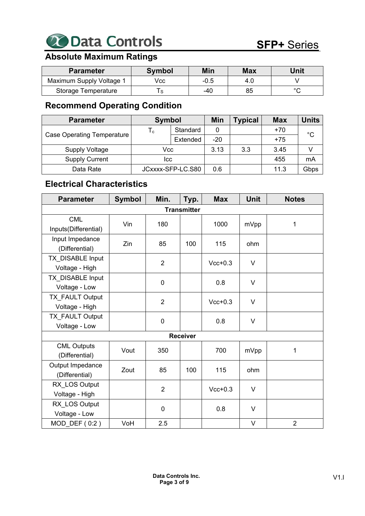

# **Absolute Maximum Ratings**

| <b>Parameter</b>         | <b>Symbol</b> | Min    | <b>Max</b> | Unit |
|--------------------------|---------------|--------|------------|------|
| Maximum Supply Voltage 1 | Vcc           | $-0.5$ | 4.0        |      |
| Storage Temperature      |               | -40    | 85         |      |

# **Recommend Operating Condition**

| <b>Parameter</b>                  | <b>Symbol</b>             |          | Min   | <b>Typical</b> | <b>Max</b> | <b>Units</b> |
|-----------------------------------|---------------------------|----------|-------|----------------|------------|--------------|
|                                   | $\mathsf{T}_{\mathsf{c}}$ | Standard | 0     |                | $+70$      | $^{\circ}$ C |
| <b>Case Operating Temperature</b> |                           | Extended | $-20$ |                | $+75$      |              |
| <b>Supply Voltage</b>             | Vcc                       |          | 3.13  | 3.3            | 3.45       |              |
| <b>Supply Current</b>             | Icc                       |          |       |                | 455        | mA           |
| Data Rate                         | JCxxxx-SFP-LC.S80         |          | 0.6   |                | 11.3       | Gbps         |

# **Electrical Characteristics**

| <b>Parameter</b>                     | <b>Symbol</b> | Min.           | Typ.               | <b>Max</b> | <b>Unit</b> | <b>Notes</b>   |
|--------------------------------------|---------------|----------------|--------------------|------------|-------------|----------------|
|                                      |               |                | <b>Transmitter</b> |            |             |                |
| <b>CML</b><br>Inputs(Differential)   | Vin           | 180            |                    | 1000       | mVpp        | 1              |
| Input Impedance<br>(Differential)    | Zin           | 85             | 100                | 115        | ohm         |                |
| TX DISABLE Input<br>Voltage - High   |               | $\overline{2}$ |                    | $Vcc+0.3$  | $\vee$      |                |
| TX_DISABLE Input<br>Voltage - Low    |               | $\pmb{0}$      |                    | 0.8        | $\vee$      |                |
| TX_FAULT Output<br>Voltage - High    |               | $\overline{2}$ |                    | $Vcc+0.3$  | V           |                |
| TX_FAULT Output<br>Voltage - Low     |               | $\pmb{0}$      |                    | 0.8        | $\vee$      |                |
|                                      |               |                | <b>Receiver</b>    |            |             |                |
| <b>CML Outputs</b><br>(Differential) | Vout          | 350            |                    | 700        | mVpp        | 1              |
| Output Impedance<br>(Differential)   | Zout          | 85             | 100                | 115        | ohm         |                |
| RX LOS Output<br>Voltage - High      |               | $\overline{2}$ |                    | $Vcc+0.3$  | $\vee$      |                |
| RX LOS Output<br>Voltage - Low       |               | $\mathbf 0$    |                    | 0.8        | $\vee$      |                |
| $MOD_DEF(0:2)$                       | VoH           | 2.5            |                    |            | V           | $\overline{2}$ |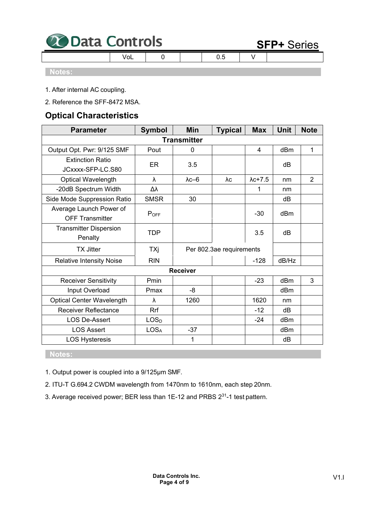| <b>20 Data Controls</b> |  |  |  | <b>SFP+</b> Series |  |
|-------------------------|--|--|--|--------------------|--|
|                         |  |  |  |                    |  |

#### **Notes:**

 $\overline{\phantom{a}}$ 

- 1. After internal AC coupling.
- 2. Reference the SFF-8472 MSA.

# **Optical Characteristics**

| <b>Parameter</b>                                  | <b>Symbol</b>    | Min                | <b>Typical</b>           | <b>Max</b>      | Unit  | <b>Note</b>    |
|---------------------------------------------------|------------------|--------------------|--------------------------|-----------------|-------|----------------|
|                                                   |                  | <b>Transmitter</b> |                          |                 |       |                |
| Output Opt. Pwr: 9/125 SMF                        | Pout             | 0                  |                          | 4               | dBm   | 1              |
| <b>Extinction Ratio</b><br>JCxxxx-SFP-LC.S80      | ER               | 3.5                |                          |                 | dB    |                |
| Optical Wavelength                                | λ                | $\lambda$ c-6      | λc                       | $\lambda$ c+7.5 | nm    | $\overline{2}$ |
| -20dB Spectrum Width                              | Δλ               |                    |                          | 1               | nm    |                |
| Side Mode Suppression Ratio                       | <b>SMSR</b>      | 30                 |                          |                 | dB    |                |
| Average Launch Power of<br><b>OFF Transmitter</b> | $P_{OFF}$        |                    |                          | $-30$           | dBm   |                |
| <b>Transmitter Dispersion</b><br>Penalty          | <b>TDP</b>       |                    |                          | 3.5             | dB    |                |
| <b>TX Jitter</b>                                  | TXj              |                    | Per 802.3ae requirements |                 |       |                |
| <b>Relative Intensity Noise</b>                   | <b>RIN</b>       |                    |                          | $-128$          | dB/Hz |                |
|                                                   |                  | <b>Receiver</b>    |                          |                 |       |                |
| <b>Receiver Sensitivity</b>                       | Pmin             |                    |                          | $-23$           | dBm   | 3              |
| Input Overload                                    | Pmax             | -8                 |                          |                 | dBm   |                |
| <b>Optical Center Wavelength</b>                  | λ                | 1260               |                          | 1620            | nm    |                |
| <b>Receiver Reflectance</b>                       | <b>Rrf</b>       |                    |                          | $-12$           | dB    |                |
| <b>LOS De-Assert</b>                              | LOS <sub>D</sub> |                    |                          | $-24$           | dBm   |                |
| <b>LOS Assert</b>                                 | LOS <sub>A</sub> | $-37$              |                          |                 | dBm   |                |
| <b>LOS Hysteresis</b>                             |                  | 1                  |                          |                 | dB    |                |

### **Notes:**

- 1. Output power is coupled into a 9/125μm SMF.
- 2. ITU-T G.694.2 CWDM wavelength from 1470nm to 1610nm, each step 20nm.
- 3. Average received power; BER less than 1E-12 and PRBS 231-1 test pattern.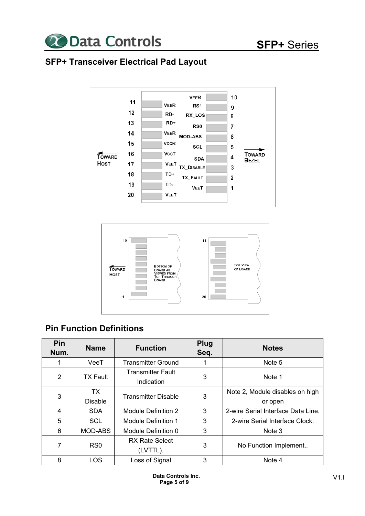

# **SFP+ Transceiver Electrical Pad Layout**





# **Pin Function Definitions**

| Pin<br>Num. | <b>Name</b>     | <b>Function</b>                        | <b>Plug</b><br>Seq. | <b>Notes</b>                       |
|-------------|-----------------|----------------------------------------|---------------------|------------------------------------|
|             | VeeT            | <b>Transmitter Ground</b>              |                     | Note 5                             |
| 2           | <b>TX Fault</b> | <b>Transmitter Fault</b><br>Indication | 3                   | Note 1                             |
| 3           | TX              | <b>Transmitter Disable</b>             | 3                   | Note 2, Module disables on high    |
|             | <b>Disable</b>  |                                        |                     | or open                            |
| 4           | <b>SDA</b>      | Module Definition 2                    | 3                   | 2-wire Serial Interface Data Line. |
| 5           | <b>SCL</b>      | <b>Module Definition 1</b>             | 3                   | 2-wire Serial Interface Clock.     |
| 6           | MOD-ABS         | Module Definition 0                    | 3                   | Note 3                             |
| 7           | RS <sub>0</sub> | <b>RX Rate Select</b>                  | 3                   |                                    |
|             |                 | (LVTTL).                               |                     | No Function Implement              |
| 8           | LOS             | Loss of Signal                         | 3                   | Note 4                             |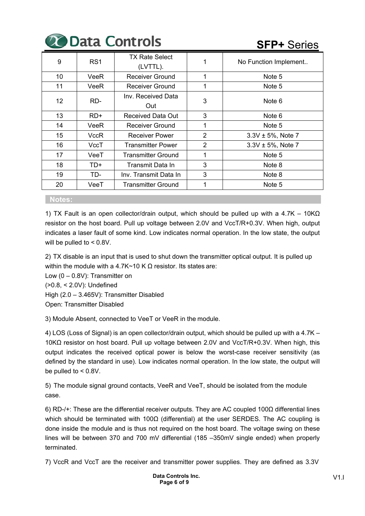|                 |                 | <b>Le Data Controls</b>           | <b>SFP+ Series</b> |                        |
|-----------------|-----------------|-----------------------------------|--------------------|------------------------|
| 9               | RS <sub>1</sub> | <b>TX Rate Select</b><br>(LVTTL). |                    | No Function Implement  |
| 10              | VeeR            | <b>Receiver Ground</b>            | 1                  | Note 5                 |
| 11              | VeeR            | <b>Receiver Ground</b>            |                    | Note 5                 |
| 12 <sup>2</sup> | RD-             | Inv. Received Data<br>Out         | 3                  | Note 6                 |
| 13              | $RD+$           | Received Data Out                 | 3                  | Note 6                 |
| 14              | VeeR            | <b>Receiver Ground</b>            | 1                  | Note 5                 |
| 15              | VccR            | <b>Receiver Power</b>             | $\overline{2}$     | $3.3V \pm 5%$ , Note 7 |
| 16              | VccT            | Transmitter Power                 | 2                  | $3.3V \pm 5%$ , Note 7 |
| 17              | VeeT            | <b>Transmitter Ground</b>         | 1                  | Note 5                 |
| 18              | TD+             | Transmit Data In                  | 3                  | Note 8                 |
| 19              | TD-             | Inv. Transmit Data In             | 3                  | Note 8                 |
| 20              | VeeT            | Transmitter Ground                | 1                  | Note 5                 |

#### **Notes:**

1) TX Fault is an open collector/drain output, which should be pulled up with a 4.7K – 10KΩ resistor on the host board. Pull up voltage between 2.0V and VccT/R+0.3V. When high, output indicates a laser fault of some kind. Low indicates normal operation. In the low state, the output will be pulled to < 0.8V.

2) TX disable is an input that is used to shut down the transmitter optical output. It is pulled up within the module with a 4.7K~10 K Ω resistor. Its states are:

Low  $(0 - 0.8V)$ : Transmitter on (>0.8, < 2.0V): Undefined

High (2.0 – 3.465V): Transmitter Disabled

Open: Transmitter Disabled

3) Module Absent, connected to VeeT or VeeR in the module.

4) LOS (Loss of Signal) is an open collector/drain output, which should be pulled up with a 4.7K – 10KΩ resistor on host board. Pull up voltage between 2.0V and VccT/R+0.3V. When high, this output indicates the received optical power is below the worst-case receiver sensitivity (as defined by the standard in use). Low indicates normal operation. In the low state, the output will be pulled to < 0.8V.

5) The module signal ground contacts, VeeR and VeeT, should be isolated from the module case.

6) RD-/+: These are the differential receiver outputs. They are AC coupled 100Ω differential lines which should be terminated with 100 $\Omega$  (differential) at the user SERDES. The AC coupling is done inside the module and is thus not required on the host board. The voltage swing on these lines will be between 370 and 700 mV differential (185 –350mV single ended) when properly terminated.

7) VccR and VccT are the receiver and transmitter power supplies. They are defined as 3.3V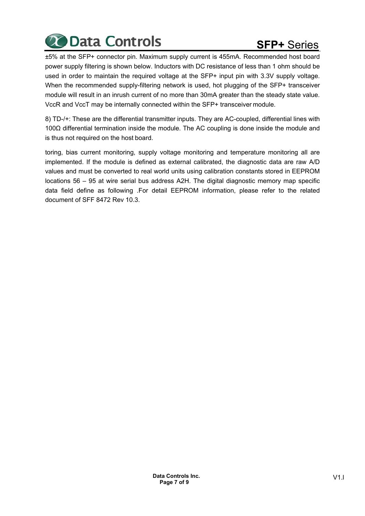

±5% at the SFP+ connector pin. Maximum supply current is 455mA. Recommended host board power supply filtering is shown below. Inductors with DC resistance of less than 1 ohm should be used in order to maintain the required voltage at the SFP+ input pin with 3.3V supply voltage. When the recommended supply-filtering network is used, hot plugging of the SFP+ transceiver module will result in an inrush current of no more than 30mA greater than the steady state value. VccR and VccT may be internally connected within the SFP+ transceiver module.

8) TD-/+: These are the differential transmitter inputs. They are AC-coupled, differential lines with 100Ω differential termination inside the module. The AC coupling is done inside the module and is thus not required on the host board.

toring, bias current monitoring, supply voltage monitoring and temperature monitoring all are implemented. If the module is defined as external calibrated, the diagnostic data are raw A/D values and must be converted to real world units using calibration constants stored in EEPROM locations 56 – 95 at wire serial bus address A2H. The digital diagnostic memory map specific data field define as following .For detail EEPROM information, please refer to the related document of SFF 8472 Rev 10.3.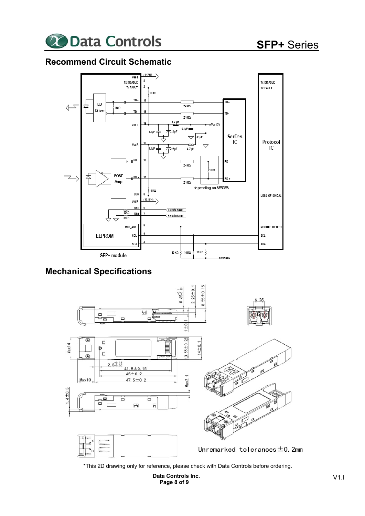

## **Recommend Circuit Schematic**



## **Mechanical Specifications**



\*This 2D drawing only for reference, please check with Data Controls before ordering.

**Data Controls Inc. Page 8 of 9**